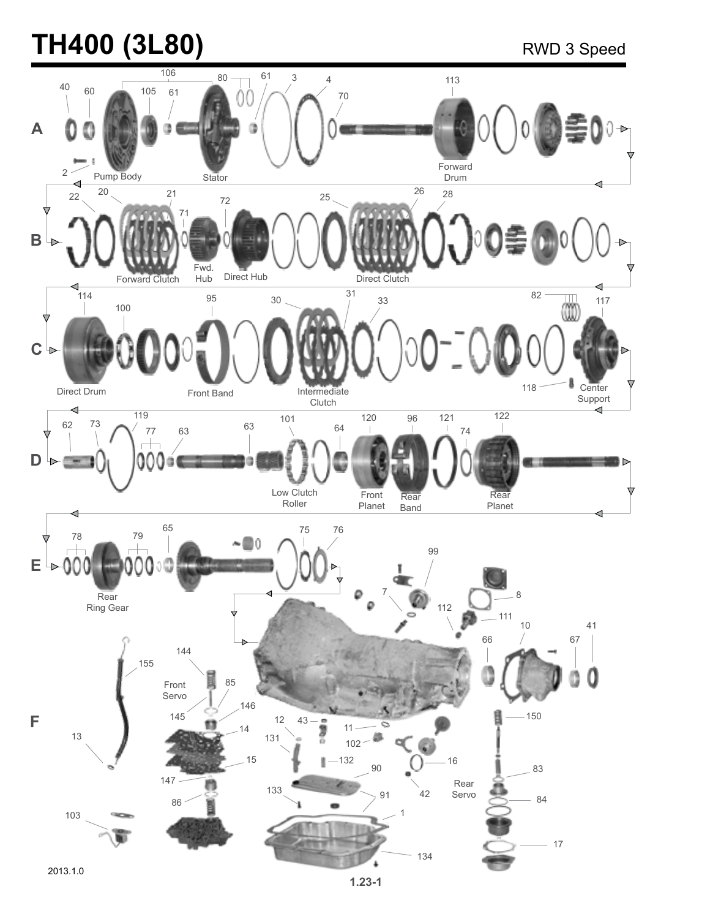# **TH400 (3L80)** RWD 3 Speed

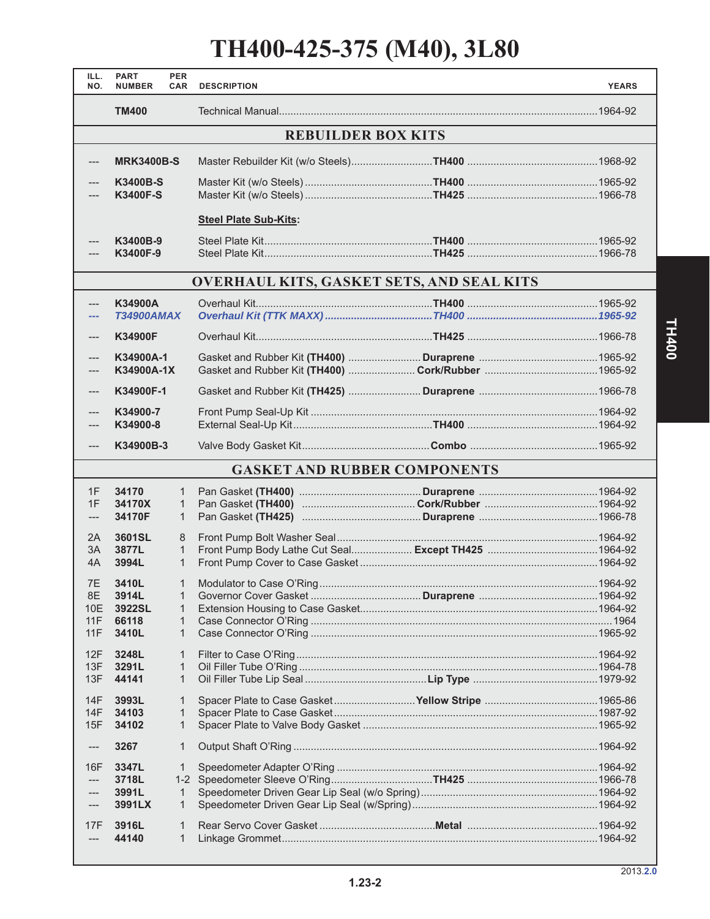## **TH400-425-375 (M40), 3L80**

| ILL.<br>NO.               | <b>PART</b><br><b>NUMBER</b> | <b>PER</b><br><b>CAR</b>    | <b>DESCRIPTION</b>                               |  | <b>YEARS</b> |  |  |
|---------------------------|------------------------------|-----------------------------|--------------------------------------------------|--|--------------|--|--|
|                           | <b>TM400</b>                 |                             |                                                  |  |              |  |  |
| <b>REBUILDER BOX KITS</b> |                              |                             |                                                  |  |              |  |  |
| ---                       | <b>MRK3400B-S</b>            |                             |                                                  |  |              |  |  |
|                           | K3400B-S<br><b>K3400F-S</b>  |                             |                                                  |  |              |  |  |
|                           |                              |                             | <b>Steel Plate Sub-Kits:</b>                     |  |              |  |  |
|                           | K3400B-9<br>K3400F-9         |                             |                                                  |  |              |  |  |
|                           |                              |                             | <b>OVERHAUL KITS, GASKET SETS, AND SEAL KITS</b> |  |              |  |  |
| ---                       | K34900A                      |                             |                                                  |  |              |  |  |
| ---                       | <b>T34900AMAX</b>            |                             |                                                  |  |              |  |  |
| $---$                     | <b>K34900F</b>               |                             |                                                  |  |              |  |  |
| ---                       | K34900A-1                    |                             |                                                  |  |              |  |  |
| ---                       | K34900A-1X                   |                             |                                                  |  |              |  |  |
| ---                       | K34900F-1                    |                             |                                                  |  |              |  |  |
|                           | K34900-7                     |                             |                                                  |  |              |  |  |
| ---                       | K34900-8                     |                             |                                                  |  |              |  |  |
| ---                       | K34900B-3                    |                             |                                                  |  |              |  |  |
|                           |                              |                             | <b>GASKET AND RUBBER COMPONENTS</b>              |  |              |  |  |
| 1F                        | 34170                        | $\mathbf{1}$                |                                                  |  |              |  |  |
| 1F                        | 34170X                       | $\mathbf{1}$                |                                                  |  |              |  |  |
| ---                       | 34170F                       | $\mathbf{1}$                |                                                  |  |              |  |  |
| 2A                        | 3601SL                       | 8                           |                                                  |  |              |  |  |
| 3A<br>4A                  | 3877L<br>3994L               | $\mathbf{1}$                |                                                  |  |              |  |  |
|                           |                              | $\mathbf{1}$                |                                                  |  |              |  |  |
| 7E                        | 3410L                        | $\mathbf{1}$                |                                                  |  |              |  |  |
| 8E<br>10E                 | 3914L<br>3922SL              | $\mathbf 1$<br>$\mathbf 1$  |                                                  |  |              |  |  |
| 11F                       | 66118                        | $\mathbf{1}$                |                                                  |  |              |  |  |
| 11F                       | 3410L                        | $\mathbf 1$                 |                                                  |  |              |  |  |
| 12F                       | 3248L                        | $\mathbf 1$                 |                                                  |  |              |  |  |
| 13F                       | 3291L                        | $\mathbf 1$                 |                                                  |  |              |  |  |
| 13F                       | 44141                        | $\mathbf 1$                 |                                                  |  |              |  |  |
|                           |                              |                             |                                                  |  |              |  |  |
| 14F<br>14F                | 3993L<br>34103               | 1<br>$\mathbf 1$            |                                                  |  |              |  |  |
| 15F                       | 34102                        | $\mathbf 1$                 |                                                  |  |              |  |  |
| ---                       | 3267                         | $\mathbf 1$                 |                                                  |  |              |  |  |
|                           |                              |                             |                                                  |  |              |  |  |
| 16F<br>---                | 3347L<br>3718L               | 1                           |                                                  |  |              |  |  |
| ---                       | 3991L                        | 1                           |                                                  |  |              |  |  |
| ---                       | 3991LX                       | $\mathbf 1$                 |                                                  |  |              |  |  |
|                           |                              |                             |                                                  |  |              |  |  |
| 17F<br>$---$              | 3916L<br>44140               | $\mathbf 1$<br>$\mathbf{1}$ |                                                  |  |              |  |  |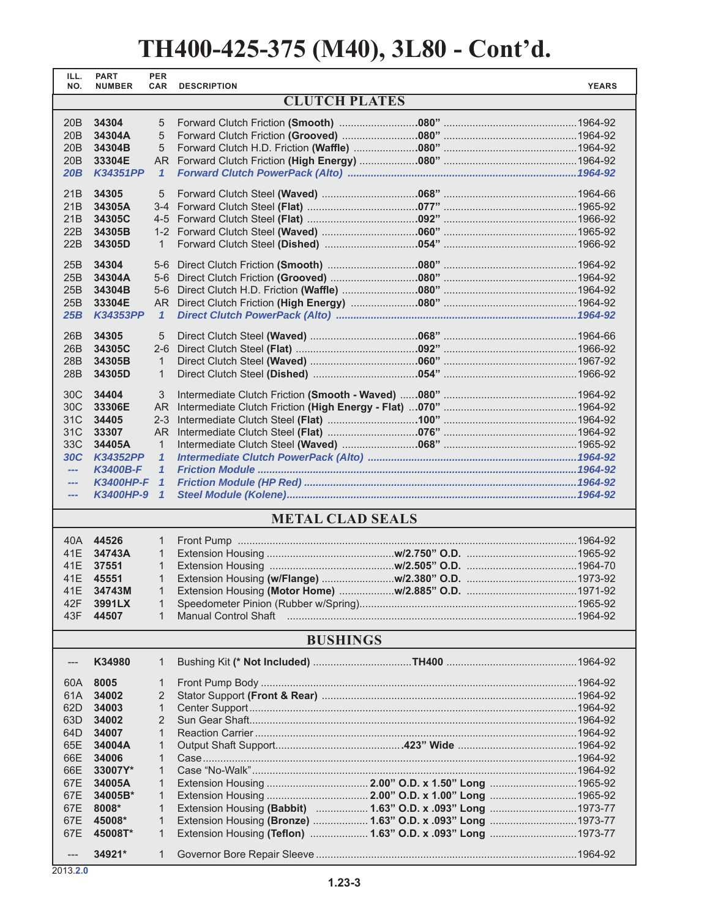| ILL.<br>NO.     | <b>PART</b><br><b>NUMBER</b> | <b>PER</b><br><b>CAR</b>     | <b>DESCRIPTION</b>          |                                                              | <b>YEARS</b> |  |  |
|-----------------|------------------------------|------------------------------|-----------------------------|--------------------------------------------------------------|--------------|--|--|
|                 |                              |                              | <b>CLUTCH PLATES</b>        |                                                              |              |  |  |
|                 |                              |                              |                             |                                                              |              |  |  |
| 20B<br>20B      | 34304<br>34304A              | 5<br>5                       |                             |                                                              |              |  |  |
| 20B             | 34304B                       | 5                            |                             |                                                              |              |  |  |
| 20B             | 33304E                       |                              |                             |                                                              |              |  |  |
| 20B             | <b>K34351PP</b>              | $\mathbf{1}$                 |                             |                                                              |              |  |  |
|                 |                              |                              |                             |                                                              |              |  |  |
| 21B             | 34305                        | 5                            |                             |                                                              |              |  |  |
| 21B             | 34305A                       |                              |                             |                                                              |              |  |  |
| 21B<br>22B      | 34305C<br>34305B             |                              |                             |                                                              |              |  |  |
| 22B             | 34305D                       | $\mathbf{1}$                 |                             |                                                              |              |  |  |
|                 |                              |                              |                             |                                                              |              |  |  |
| 25B             | 34304                        | $5-6$                        |                             |                                                              |              |  |  |
| 25B             | 34304A                       | $5-6$                        |                             |                                                              |              |  |  |
| 25B<br>25B      | 34304B<br>33304E             | $5-6$<br>AR                  |                             |                                                              |              |  |  |
| 25B             | <b>K34353PP</b>              | $\mathbf{1}$                 |                             |                                                              |              |  |  |
|                 |                              |                              |                             |                                                              |              |  |  |
| 26B             | 34305                        | 5                            |                             |                                                              |              |  |  |
| 26B             | 34305C                       | $2 - 6$                      |                             |                                                              |              |  |  |
| 28 <sub>B</sub> | 34305B<br>34305D             | $\mathbf{1}$<br>$\mathbf{1}$ |                             |                                                              |              |  |  |
| 28B             |                              |                              |                             |                                                              |              |  |  |
| 30C             | 34404                        | 3                            |                             |                                                              |              |  |  |
| 30C             | 33306E                       | <b>AR</b>                    |                             |                                                              |              |  |  |
| 31C             | 34405                        | $2 - 3$                      |                             |                                                              |              |  |  |
| 31C             | 33307                        | <b>AR</b>                    |                             |                                                              |              |  |  |
| 33C<br>30C      | 34405A<br><b>K34352PP</b>    | $\mathbf{1}$<br>$\mathbf{1}$ |                             |                                                              |              |  |  |
| $\overline{a}$  | <b>K3400B-F</b>              | $\mathbf{1}$                 |                             |                                                              |              |  |  |
| $\overline{a}$  | K3400HP-F 1                  |                              |                             |                                                              |              |  |  |
| $\overline{a}$  | K3400HP-9 1                  |                              |                             |                                                              |              |  |  |
|                 |                              |                              | <b>METAL CLAD SEALS</b>     |                                                              |              |  |  |
|                 |                              |                              |                             |                                                              |              |  |  |
| 40A<br>41E      | 44526<br>34743A              | $\mathbf{1}$<br>$\mathbf{1}$ |                             |                                                              |              |  |  |
| 41E             | 37551                        | $\mathbf{1}$                 |                             |                                                              |              |  |  |
| 41E             | 45551                        | $\mathbf{1}$                 |                             |                                                              |              |  |  |
| 41E             | 34743M                       | 1                            |                             |                                                              |              |  |  |
| 42F             | 3991LX                       | 1                            |                             |                                                              |              |  |  |
| 43F             | 44507                        | $\mathbf{1}$                 | <b>Manual Control Shaft</b> |                                                              |              |  |  |
|                 |                              |                              | <b>BUSHINGS</b>             |                                                              |              |  |  |
| ---             | K34980                       | 1                            |                             |                                                              |              |  |  |
|                 |                              |                              |                             |                                                              |              |  |  |
| 60A             | 8005                         | 1                            |                             |                                                              |              |  |  |
| 61A<br>62D      | 34002<br>34003               | 2<br>$\mathbf{1}$            |                             |                                                              |              |  |  |
| 63D             | 34002                        | 2                            |                             |                                                              |              |  |  |
| 64D             | 34007                        | $\mathbf{1}$                 |                             |                                                              |              |  |  |
| 65E             | 34004A                       | 1                            |                             |                                                              |              |  |  |
| 66E             | 34006                        | $\mathbf{1}$                 |                             |                                                              |              |  |  |
| 66E             | 33007Y*                      | $\mathbf{1}$                 |                             |                                                              |              |  |  |
| 67E             | 34005A                       | 1                            |                             |                                                              |              |  |  |
| 67E             | 34005B*                      | $\mathbf{1}$                 |                             |                                                              |              |  |  |
| 67E             | 8008*                        | $\mathbf{1}$                 |                             | Extension Housing (Babbit)  1.63" O.D. x .093" Long  1973-77 |              |  |  |
| 67E             | 45008*                       | 1                            |                             | Extension Housing (Bronze)  1.63" O.D. x .093" Long  1973-77 |              |  |  |
| 67E             | 45008T*                      | $\mathbf{1}$                 |                             | Extension Housing (Teflon)  1.63" O.D. x .093" Long  1973-77 |              |  |  |
| $---$           | 34921*                       | $\mathbf{1}$                 |                             |                                                              |              |  |  |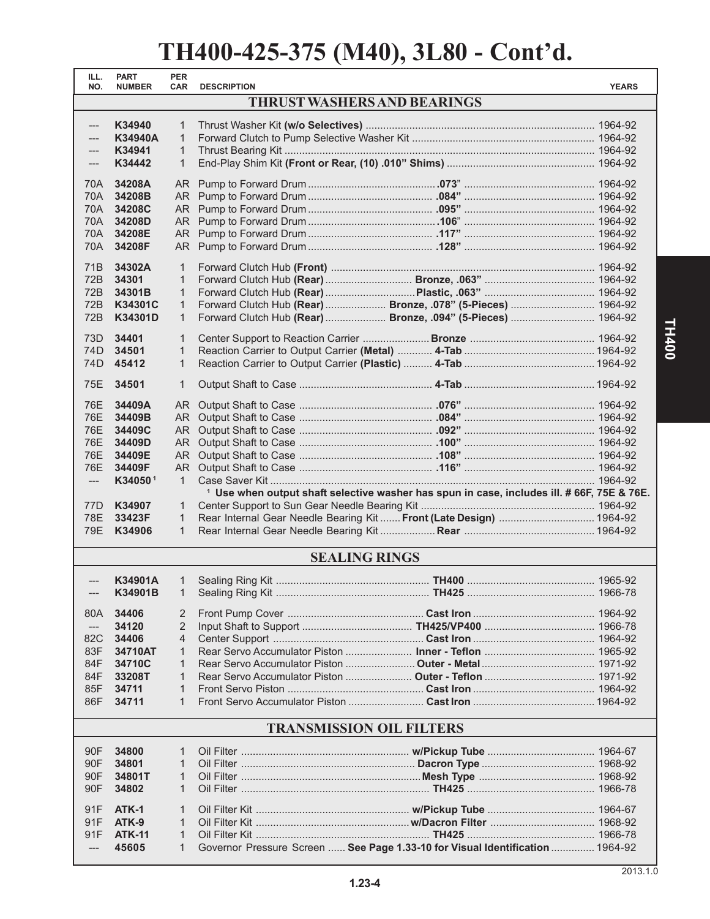| ILL.<br>NO.                        | <b>PART</b><br><b>NUMBER</b> | <b>PER</b><br><b>CAR</b> | <b>DESCRIPTION</b> |                                                                                                       | <b>YEARS</b> |  |
|------------------------------------|------------------------------|--------------------------|--------------------|-------------------------------------------------------------------------------------------------------|--------------|--|
| <b>THRUST WASHERS AND BEARINGS</b> |                              |                          |                    |                                                                                                       |              |  |
| $---$                              | K34940                       | $\mathbf{1}$             |                    |                                                                                                       |              |  |
| $---$                              | <b>K34940A</b>               | $\mathbf{1}$             |                    |                                                                                                       |              |  |
| $---$                              | K34941                       | $\mathbf{1}$             |                    |                                                                                                       |              |  |
| $---$                              | K34442                       | $\mathbf{1}$             |                    |                                                                                                       |              |  |
| 70A                                | 34208A                       |                          |                    |                                                                                                       |              |  |
| 70A                                | 34208B                       |                          |                    |                                                                                                       |              |  |
| 70A                                | 34208C                       | AR I                     |                    |                                                                                                       |              |  |
| <b>70A</b>                         | 34208D                       |                          |                    |                                                                                                       |              |  |
| 70A                                | 34208E                       | AR I                     |                    |                                                                                                       |              |  |
| 70A                                | 34208F                       |                          |                    |                                                                                                       |              |  |
| 71 <sub>B</sub>                    | 34302A                       | 1                        |                    |                                                                                                       |              |  |
| 72B                                | 34301                        | 1                        |                    |                                                                                                       |              |  |
| 72B                                | 34301B                       | $\mathbf{1}$             |                    |                                                                                                       |              |  |
| 72B                                | K34301C                      | $\mathbf{1}$             |                    | Forward Clutch Hub (Rear)  Bronze, .078" (5-Pieces)  1964-92                                          |              |  |
| 72B                                | K34301D                      | $\mathbf{1}$             |                    | Forward Clutch Hub (Rear)  Bronze, .094" (5-Pieces)  1964-92                                          |              |  |
| 73D                                | 34401                        | $\mathbf{1}$             |                    |                                                                                                       |              |  |
| 74D                                | 34501                        | 1                        |                    |                                                                                                       |              |  |
| 74D                                | 45412                        | $\mathbf{1}$             |                    |                                                                                                       |              |  |
| 75E                                | 34501                        | $\mathbf{1}$             |                    |                                                                                                       |              |  |
| 76E                                | 34409A                       | AR.                      |                    |                                                                                                       |              |  |
| 76E                                | 34409B                       | AR I                     |                    |                                                                                                       |              |  |
| 76E                                | 34409C                       |                          |                    |                                                                                                       |              |  |
| 76E                                | 34409D                       |                          |                    |                                                                                                       |              |  |
| 76E                                | 34409E                       |                          |                    |                                                                                                       |              |  |
| 76E                                | 34409F                       |                          |                    |                                                                                                       |              |  |
| $---$                              | K340501                      | $\mathbf{1}$             |                    |                                                                                                       |              |  |
|                                    |                              |                          |                    | <sup>1</sup> Use when output shaft selective washer has spun in case, includes ill. # 66F, 75E & 76E. |              |  |
| 77D                                | K34907                       | $\mathbf{1}$             |                    |                                                                                                       |              |  |
| <b>78E</b>                         | 33423F                       | 1                        |                    | Rear Internal Gear Needle Bearing Kit  Front (Late Design)  1964-92                                   |              |  |
| 79E                                | K34906                       | $\mathbf{1}$             |                    |                                                                                                       |              |  |
| <b>SEALING RINGS</b>               |                              |                          |                    |                                                                                                       |              |  |
| $---$                              | K34901A                      |                          |                    |                                                                                                       |              |  |
| ---                                | K34901B                      |                          |                    |                                                                                                       |              |  |
|                                    |                              |                          |                    |                                                                                                       |              |  |
| 80A                                | 34406<br>34120               | 2<br>2                   |                    |                                                                                                       |              |  |
| ---<br>82C                         | 34406                        | 4                        |                    |                                                                                                       |              |  |
| 83F                                | 34710AT                      | $\mathbf{1}$             |                    |                                                                                                       |              |  |
| 84F                                | 34710C                       | $\mathbf{1}$             |                    |                                                                                                       |              |  |
| 84F                                | 33208T                       | $\mathbf{1}$             |                    |                                                                                                       |              |  |
| 85F                                | 34711                        | $\mathbf{1}$             |                    |                                                                                                       |              |  |
| 86F                                | 34711                        | 1                        |                    |                                                                                                       |              |  |
|                                    |                              |                          |                    |                                                                                                       |              |  |
| <b>TRANSMISSION OIL FILTERS</b>    |                              |                          |                    |                                                                                                       |              |  |
| 90F                                | 34800                        | 1                        |                    |                                                                                                       |              |  |
| 90F                                | 34801                        | $\mathbf{1}$             |                    |                                                                                                       |              |  |
| 90F                                | 34801T                       | $\mathbf{1}$             |                    |                                                                                                       |              |  |
| 90F                                | 34802                        | $\mathbf{1}$             |                    |                                                                                                       |              |  |
| 91F                                | ATK-1                        | $\mathbf{1}$             |                    |                                                                                                       |              |  |
| 91F                                | ATK-9                        | $\mathbf{1}$             |                    |                                                                                                       |              |  |
| 91F                                | <b>ATK-11</b>                | $\mathbf{1}$             |                    |                                                                                                       |              |  |
| $---$                              | 45605                        | $\mathbf{1}$             |                    | Governor Pressure Screen  See Page 1.33-10 for Visual Identification  1964-92                         |              |  |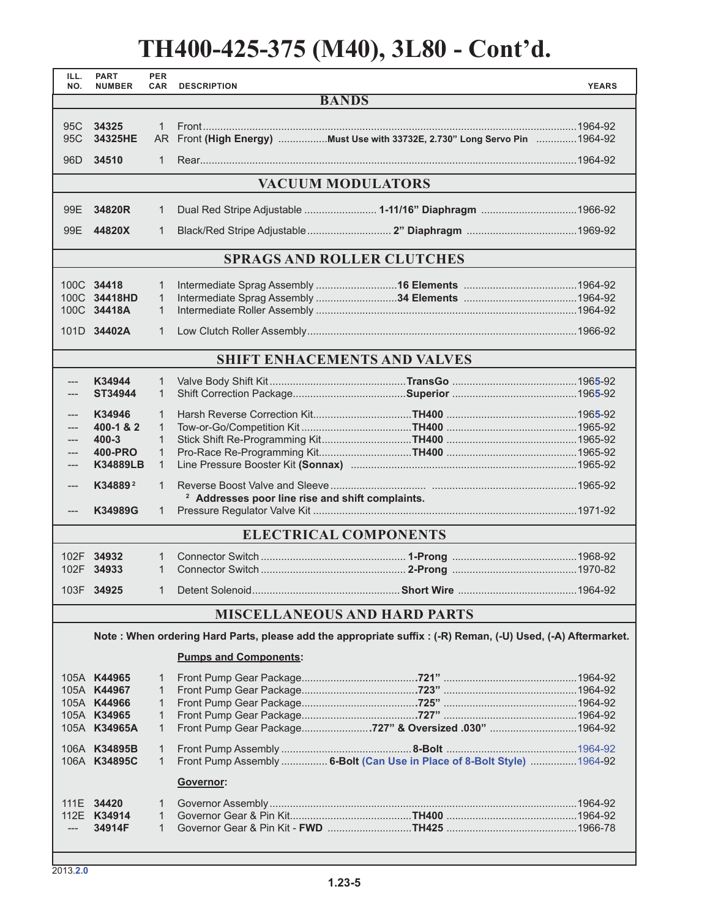| ILL.<br>NO.                  | <b>PART</b><br><b>NUMBER</b> | <b>PER</b><br><b>CAR</b>     | <b>DESCRIPTION</b>                                                                                          | <b>YEARS</b> |  |  |  |
|------------------------------|------------------------------|------------------------------|-------------------------------------------------------------------------------------------------------------|--------------|--|--|--|
| <b>BANDS</b>                 |                              |                              |                                                                                                             |              |  |  |  |
| 95C                          | 34325<br>$\mathbf{1}$        |                              |                                                                                                             |              |  |  |  |
| 95C                          | 34325HE                      | AR.                          | Front (High Energy) Must Use with 33732E, 2.730" Long Servo Pin 1964-92                                     |              |  |  |  |
| 96D                          | 34510                        | $\mathbf{1}$                 |                                                                                                             |              |  |  |  |
|                              |                              |                              | <b>VACUUM MODULATORS</b>                                                                                    |              |  |  |  |
|                              |                              |                              |                                                                                                             |              |  |  |  |
| 99E                          | 34820R                       | 1                            | Dual Red Stripe Adjustable  1-11/16" Diaphragm 1966-92                                                      |              |  |  |  |
|                              | 99E 44820X                   | $\mathbf{1}$                 |                                                                                                             |              |  |  |  |
|                              |                              |                              | <b>SPRAGS AND ROLLER CLUTCHES</b>                                                                           |              |  |  |  |
|                              | 100C 34418                   | $\mathbf{1}$                 |                                                                                                             |              |  |  |  |
|                              | 100C 34418HD                 | $\mathbf{1}$                 |                                                                                                             |              |  |  |  |
|                              | 100C 34418A                  | $\mathbf{1}$                 |                                                                                                             |              |  |  |  |
|                              | 101D 34402A                  | $\mathbf{1}$                 |                                                                                                             |              |  |  |  |
|                              |                              |                              | <b>SHIFT ENHACEMENTS AND VALVES</b>                                                                         |              |  |  |  |
| ---                          | K34944                       | $\mathbf{1}$                 |                                                                                                             |              |  |  |  |
|                              | ST34944                      | $\mathbf{1}$                 |                                                                                                             |              |  |  |  |
|                              | K34946                       | $\mathbf{1}$                 |                                                                                                             |              |  |  |  |
| ---                          | 400-1 & 2                    | $\mathbf{1}$                 |                                                                                                             |              |  |  |  |
|                              | $400 - 3$                    | $\mathbf{1}$                 |                                                                                                             |              |  |  |  |
| $---$                        | <b>400-PRO</b>               | $\mathbf{1}$                 |                                                                                                             |              |  |  |  |
| ---                          | <b>K34889LB</b>              | $\mathbf{1}$                 |                                                                                                             |              |  |  |  |
| ---                          | K34889 <sup>2</sup>          | $\mathbf{1}$                 | <sup>2</sup> Addresses poor line rise and shift complaints.                                                 |              |  |  |  |
| ---                          | K34989G                      | 1                            |                                                                                                             |              |  |  |  |
| <b>ELECTRICAL COMPONENTS</b> |                              |                              |                                                                                                             |              |  |  |  |
|                              | 102F 34932                   | $\mathbf{1}$                 |                                                                                                             |              |  |  |  |
|                              | 102F 34933                   | $\mathbf{1}$                 |                                                                                                             |              |  |  |  |
|                              | 103F 34925                   |                              |                                                                                                             |              |  |  |  |
|                              |                              |                              | <b>MISCELLANEOUS AND HARD PARTS</b>                                                                         |              |  |  |  |
|                              |                              |                              | Note: When ordering Hard Parts, please add the appropriate suffix: (-R) Reman, (-U) Used, (-A) Aftermarket. |              |  |  |  |
|                              |                              |                              | <b>Pumps and Components:</b>                                                                                |              |  |  |  |
|                              | 105A K44965                  | 1                            |                                                                                                             |              |  |  |  |
|                              | 105A K44967                  | 1                            |                                                                                                             |              |  |  |  |
|                              | 105A K44966<br>105A K34965   | 1<br>$\mathbf{1}$            |                                                                                                             |              |  |  |  |
|                              | 105A K34965A                 | $\mathbf{1}$                 | Front Pump Gear Package727" & Oversized .030" 1964-92                                                       |              |  |  |  |
|                              |                              |                              |                                                                                                             |              |  |  |  |
|                              | 106A K34895B<br>106A K34895C | $\mathbf{1}$<br>$\mathbf{1}$ | Front Pump Assembly  6-Bolt (Can Use in Place of 8-Bolt Style)  1964-92                                     |              |  |  |  |
|                              |                              |                              | Governor:                                                                                                   |              |  |  |  |
|                              | 111E 34420                   | 1                            |                                                                                                             |              |  |  |  |
|                              | 112E K34914                  | $\mathbf{1}$                 |                                                                                                             |              |  |  |  |
|                              | 34914F                       | $\mathbf{1}$                 |                                                                                                             |              |  |  |  |
|                              |                              |                              |                                                                                                             |              |  |  |  |